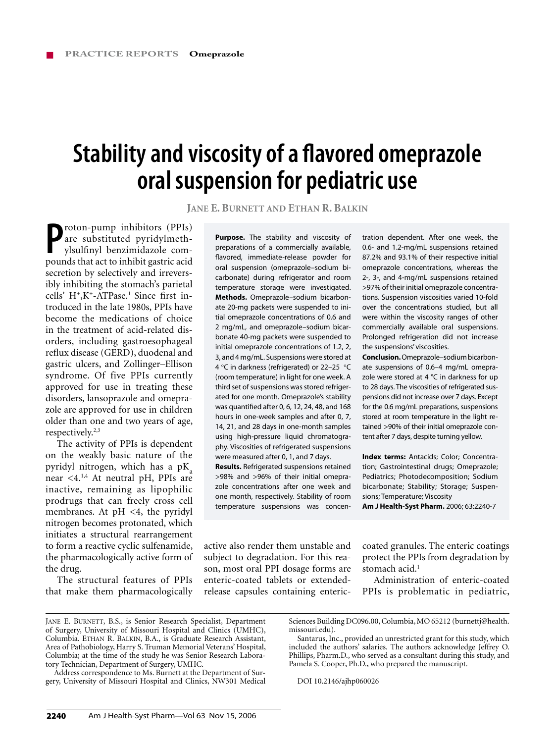# **Stability and viscosity of a flavored omeprazole oral suspension for pediatric use**

**JANE E. BURNETT AND ETHAN R. BALKIN**

**P**roton-pump inhibitors (PPIs)
are substituted pyridylmeth-<br>
ylsulfinyl benzimidazole com-<br>
pounds that act to inhibit gastric acid are substituted pyridylmethylsulfinyl benzimidazole compounds that act to inhibit gastric acid secretion by selectively and irreversibly inhibiting the stomach's parietal cells'  $H^+$ ,  $K^+$ -ATPase.<sup>1</sup> Since first introduced in the late 1980s, PPIs have become the medications of choice in the treatment of acid-related disorders, including gastroesophageal reflux disease (GERD), duodenal and gastric ulcers, and Zollinger–Ellison syndrome. Of five PPIs currently approved for use in treating these disorders, lansoprazole and omeprazole are approved for use in children older than one and two years of age, respectively.<sup>2,3</sup>

The activity of PPIs is dependent on the weakly basic nature of the pyridyl nitrogen, which has a  $pK_a$ near <4.<sup>1,4</sup> At neutral pH, PPIs are inactive, remaining as lipophilic prodrugs that can freely cross cell membranes. At  $pH \leq 4$ , the pyridyl nitrogen becomes protonated, which initiates a structural rearrangement to form a reactive cyclic sulfenamide, the pharmacologically active form of the drug.

The structural features of PPIs that make them pharmacologically

**Purpose.** The stability and viscosity of preparations of a commercially available, flavored, immediate-release powder for oral suspension (omeprazole–sodium bicarbonate) during refrigerator and room temperature storage were investigated. **Methods.** Omeprazole–sodium bicarbonate 20-mg packets were suspended to initial omeprazole concentrations of 0.6 and 2 mg/mL, and omeprazole–sodium bicarbonate 40-mg packets were suspended to initial omeprazole concentrations of 1.2, 2, 3, and 4 mg/mL. Suspensions were stored at 4 °C in darkness (refrigerated) or 22–25 °C (room temperature) in light for one week. A third set of suspensions was stored refrigerated for one month. Omeprazole's stability was quantified after 0, 6, 12, 24, 48, and  $168$ hours in one-week samples and after 0, 7, 14, 21, and 28 days in one-month samples using high-pressure liquid chromatography. Viscosities of refrigerated suspensions were measured after 0, 1, and 7 days.

**Results.** Refrigerated suspensions retained >98% and >96% of their initial omeprazole concentrations after one week and one month, respectively. Stability of room temperature suspensions was concentration dependent. After one week, the 0.6- and 1.2-mg/mL suspensions retained 87.2% and 93.1% of their respective initial omeprazole concentrations, whereas the 2-, 3-, and 4-mg/mL suspensions retained >97% of their initial omeprazole concentrations. Suspension viscosities varied 10-fold over the concentrations studied, but all were within the viscosity ranges of other commercially available oral suspensions. Prolonged refrigeration did not increase the suspensions' viscosities.

**Conclusion.**Omeprazole–sodium bicarbonate suspensions of 0.6–4 mg/mL omeprazole were stored at 4  $^{\circ}$ C in darkness for up to 28 days. The viscosities of refrigerated suspensions did not increase over 7 days. Except for the 0.6 mg/mL preparations, suspensions stored at room temperature in the light retained >90% of their initial omeprazole content after 7 days, despite turning yellow.

**Index terms:** Antacids; Color; Concentration; Gastrointestinal drugs; Omeprazole; Pediatrics; Photodecomposition; Sodium bicarbonate; Stability; Storage; Suspensions; Temperature; Viscosity **Am J Health-Syst Pharm.** 2006; 63:2240-7

active also render them unstable and subject to degradation. For this reason, most oral PPI dosage forms are enteric-coated tablets or extendedrelease capsules containing entericcoated granules. The enteric coatings protect the PPIs from degradation by stomach acid. $<sup>1</sup>$ </sup>

Administration of enteric-coated PPIs is problematic in pediatric,

Address correspondence to Ms. Burnett at the Department of Surgery, University of Missouri Hospital and Clinics, NW301 Medical

DOI 10.2146/ajhp060026

JANE E. BURNETT, B.S., is Senior Research Specialist, Department of Surgery, University of Missouri Hospital and Clinics (UMHC), Columbia. ETHAN R. BALKIN, B.A., is Graduate Research Assistant, Area of Pathobiology, Harry S. Truman Memorial Veterans' Hospital, Columbia; at the time of the study he was Senior Research Laboratory Technician, Department of Surgery, UMHC.

Sciences Building DC096.00, Columbia, MO 65212 (burnettj@health. missouri.edu).

Santarus, Inc., provided an unrestricted grant for this study, which included the authors' salaries. The authors acknowledge Jeffrey O. Phillips, Pharm.D., who served as a consultant during this study, and Pamela S. Cooper, Ph.D., who prepared the manuscript.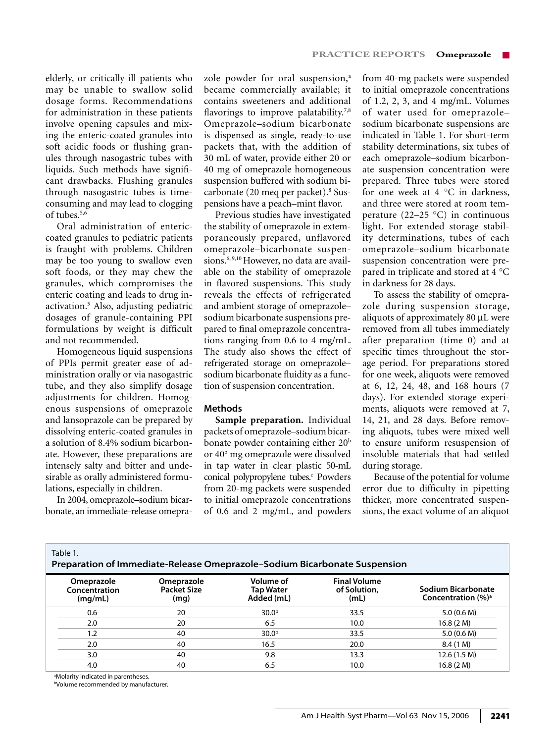elderly, or critically ill patients who may be unable to swallow solid dosage forms. Recommendations for administration in these patients involve opening capsules and mixing the enteric-coated granules into soft acidic foods or flushing granules through nasogastric tubes with liquids. Such methods have significant drawbacks. Flushing granules through nasogastric tubes is timeconsuming and may lead to clogging of tubes.<sup>5,6</sup>

Oral administration of entericcoated granules to pediatric patients is fraught with problems. Children may be too young to swallow even soft foods, or they may chew the granules, which compromises the enteric coating and leads to drug inactivation.5 Also, adjusting pediatric dosages of granule-containing PPI formulations by weight is difficult and not recommended.

Homogeneous liquid suspensions of PPIs permit greater ease of administration orally or via nasogastric tube, and they also simplify dosage adjustments for children. Homogenous suspensions of omeprazole and lansoprazole can be prepared by dissolving enteric-coated granules in a solution of 8.4% sodium bicarbonate. However, these preparations are intensely salty and bitter and undesirable as orally administered formulations, especially in children.

In 2004, omeprazole–sodium bicarbonate, an immediate-release omeprazole powder for oral suspension,<sup>a</sup> became commercially available; it contains sweeteners and additional flavorings to improve palatability.<sup>7,8</sup> Omeprazole–sodium bicarbonate is dispensed as single, ready-to-use packets that, with the addition of 30 mL of water, provide either 20 or 40 mg of omeprazole homogeneous suspension buffered with sodium bicarbonate (20 meq per packet).<sup>8</sup> Suspensions have a peach–mint flavor.

Previous studies have investigated the stability of omeprazole in extemporaneously prepared, unflavored omeprazole–bicarbonate suspensions.<sup>6, 9,10</sup> However, no data are available on the stability of omeprazole in flavored suspensions. This study reveals the effects of refrigerated and ambient storage of omeprazole– sodium bicarbonate suspensions prepared to final omeprazole concentrations ranging from 0.6 to 4 mg/mL. The study also shows the effect of refrigerated storage on omeprazole– sodium bicarbonate fluidity as a function of suspension concentration.

### **Methods**

**Sample preparation.** Individual packets of omeprazole–sodium bicarbonate powder containing either 20<sup>b</sup> or 40<sup>b</sup> mg omeprazole were dissolved in tap water in clear plastic 50-mL conical polypropylene tubes.<sup>c</sup> Powders from 20-mg packets were suspended to initial omeprazole concentrations of 0.6 and 2 mg/mL, and powders

from 40-mg packets were suspended to initial omeprazole concentrations of 1.2, 2, 3, and 4 mg/mL. Volumes of water used for omeprazole– sodium bicarbonate suspensions are indicated in Table 1. For short-term stability determinations, six tubes of each omeprazole–sodium bicarbonate suspension concentration were prepared. Three tubes were stored for one week at 4 °C in darkness, and three were stored at room temperature (22–25  $^{\circ}$ C) in continuous light. For extended storage stability determinations, tubes of each omeprazole–sodium bicarbonate suspension concentration were prepared in triplicate and stored at 4 °C in darkness for 28 days.

To assess the stability of omeprazole during suspension storage, aliquots of approximately 80 µL were removed from all tubes immediately after preparation (time 0) and at specific times throughout the storage period. For preparations stored for one week, aliquots were removed at 6, 12, 24, 48, and 168 hours (7 days). For extended storage experiments, aliquots were removed at 7, 14, 21, and 28 days. Before removing aliquots, tubes were mixed well to ensure uniform resuspension of insoluble materials that had settled during storage.

Because of the potential for volume error due to difficulty in pipetting thicker, more concentrated suspensions, the exact volume of an aliquot

| Table 1.<br>Preparation of Immediate-Release Omeprazole-Sodium Bicarbonate Suspension |                                        |                                          |                                             |                                             |                                              |  |  |
|---------------------------------------------------------------------------------------|----------------------------------------|------------------------------------------|---------------------------------------------|---------------------------------------------|----------------------------------------------|--|--|
|                                                                                       | Omeprazole<br>Concentration<br>(mq/mL) | Omeprazole<br><b>Packet Size</b><br>(mg) | Volume of<br><b>Tap Water</b><br>Added (mL) | <b>Final Volume</b><br>of Solution,<br>(mL) | Sodium Bicarbonate<br>Concentration $(\%)^a$ |  |  |
|                                                                                       | 0.6                                    | 20                                       | 30.0 <sup>b</sup>                           | 33.5                                        | 5.0(0.6 M)                                   |  |  |
|                                                                                       | 2.0                                    | 20                                       | 6.5                                         | 10.0                                        | 16.8(2 M)                                    |  |  |
|                                                                                       | 1.2                                    | 40                                       | 30.0 <sup>b</sup>                           | 33.5                                        | 5.0(0.6 M)                                   |  |  |
|                                                                                       | 2.0                                    | 40                                       | 16.5                                        | 20.0                                        | 8.4 (1 M)                                    |  |  |
|                                                                                       | 3.0                                    | 40                                       | 9.8                                         | 13.3                                        | 12.6 (1.5 M)                                 |  |  |
|                                                                                       | 4.0                                    | 40                                       | 6.5                                         | 10.0                                        | 16.8(2 M)                                    |  |  |

a Molarity indicated in parentheses.

b Volume recommended by manufacturer.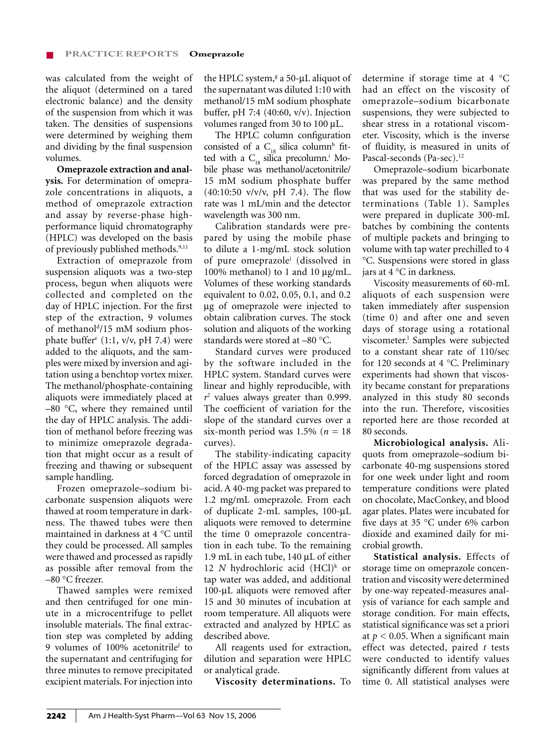was calculated from the weight of the aliquot (determined on a tared electronic balance) and the density of the suspension from which it was taken. The densities of suspensions were determined by weighing them and dividing by the final suspension volumes.

**Omeprazole extraction and analysis.** For determination of omeprazole concentrations in aliquots, a method of omeprazole extraction and assay by reverse-phase highperformance liquid chromatography (HPLC) was developed on the basis of previously published methods.<sup>9,11</sup>

Extraction of omeprazole from suspension aliquots was a two-step process, begun when aliquots were collected and completed on the day of HPLC injection. For the first step of the extraction, 9 volumes of methanol<sup>d</sup>/15 mM sodium phosphate buffere (1:1, v/v, pH 7.4) were added to the aliquots, and the samples were mixed by inversion and agitation using a benchtop vortex mixer. The methanol/phosphate-containing aliquots were immediately placed at –80 °C, where they remained until the day of HPLC analysis. The addition of methanol before freezing was to minimize omeprazole degradation that might occur as a result of freezing and thawing or subsequent sample handling.

Frozen omeprazole–sodium bicarbonate suspension aliquots were thawed at room temperature in darkness. The thawed tubes were then maintained in darkness at 4 °C until they could be processed. All samples were thawed and processed as rapidly as possible after removal from the –80 °C freezer.

Thawed samples were remixed and then centrifuged for one minute in a microcentrifuge to pellet insoluble materials. The final extraction step was completed by adding 9 volumes of 100% acetonitrilef to the supernatant and centrifuging for three minutes to remove precipitated excipient materials. For injection into

the HPLC system, $s$  a 50-µL aliquot of the supernatant was diluted 1:10 with methanol/15 mM sodium phosphate buffer, pH 7:4 (40:60, v/v). Injection volumes ranged from 30 to 100 µL.

The HPLC column configuration consisted of a  $C_{18}$  silica column<sup>h</sup> fitted with a  $C_{18}$  silica precolumn.<sup>i</sup> Mobile phase was methanol/acetonitrile/ 15 mM sodium phosphate buffer  $(40:10:50 \text{ v/v/v}, \text{pH } 7.4)$ . The flow rate was 1 mL/min and the detector wavelength was 300 nm.

Calibration standards were prepared by using the mobile phase to dilute a 1-mg/mL stock solution of pure omeprazolej (dissolved in 100% methanol) to 1 and 10 µg/mL. Volumes of these working standards equivalent to 0.02, 0.05, 0.1, and 0.2 µg of omeprazole were injected to obtain calibration curves. The stock solution and aliquots of the working standards were stored at –80 °C.

Standard curves were produced by the software included in the HPLC system. Standard curves were linear and highly reproducible, with *r*2 values always greater than 0.999. The coefficient of variation for the slope of the standard curves over a six-month period was 1.5% (*n* = 18 curves).

The stability-indicating capacity of the HPLC assay was assessed by forced degradation of omeprazole in acid. A 40-mg packet was prepared to 1.2 mg/mL omeprazole. From each of duplicate 2-mL samples, 100-µL aliquots were removed to determine the time 0 omeprazole concentration in each tube. To the remaining 1.9 mL in each tube, 140 µL of either 12 *N* hydrochloric acid  $(HCl)^k$  or tap water was added, and additional 100-µL aliquots were removed after 15 and 30 minutes of incubation at room temperature. All aliquots were extracted and analyzed by HPLC as described above.

All reagents used for extraction, dilution and separation were HPLC or analytical grade.

**Viscosity determinations.** To

determine if storage time at 4 °C had an effect on the viscosity of omeprazole–sodium bicarbonate suspensions, they were subjected to shear stress in a rotational viscometer. Viscosity, which is the inverse of fluidity, is measured in units of Pascal-seconds (Pa-sec).<sup>12</sup>

Omeprazole–sodium bicarbonate was prepared by the same method that was used for the stability determinations (Table 1). Samples were prepared in duplicate 300-mL batches by combining the contents of multiple packets and bringing to volume with tap water prechilled to 4 °C. Suspensions were stored in glass jars at 4 °C in darkness.

Viscosity measurements of 60-mL aliquots of each suspension were taken immediately after suspension (time 0) and after one and seven days of storage using a rotational viscometer.<sup>1</sup> Samples were subjected to a constant shear rate of 110/sec for 120 seconds at 4 °C. Preliminary experiments had shown that viscosity became constant for preparations analyzed in this study 80 seconds into the run. Therefore, viscosities reported here are those recorded at 80 seconds.

**Microbiological analysis.** Aliquots from omeprazole–sodium bicarbonate 40-mg suspensions stored for one week under light and room temperature conditions were plated on chocolate, MacConkey, and blood agar plates. Plates were incubated for five days at 35  $\degree$ C under 6% carbon dioxide and examined daily for microbial growth.

**Statistical analysis.** Effects of storage time on omeprazole concentration and viscosity were determined by one-way repeated-measures analysis of variance for each sample and storage condition. For main effects, statistical significance was set a priori at  $p < 0.05$ . When a significant main effect was detected, paired *t* tests were conducted to identify values significantly different from values at time 0. All statistical analyses were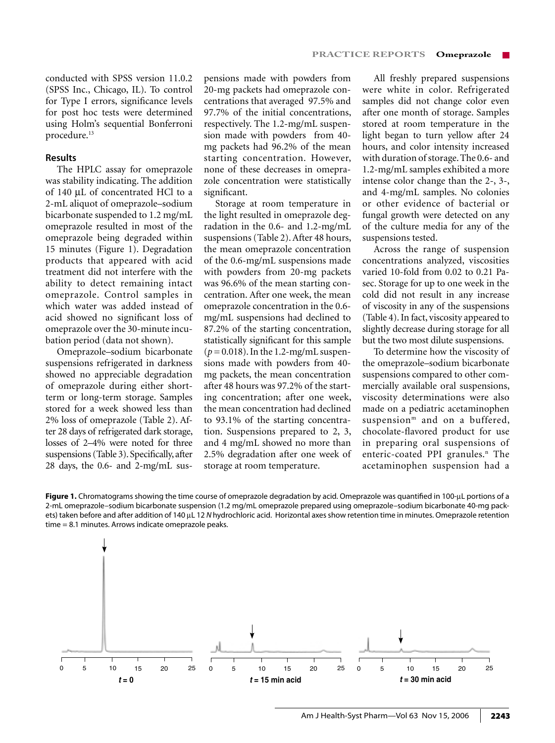conducted with SPSS version 11.0.2 (SPSS Inc., Chicago, IL). To control for Type I errors, significance levels for post hoc tests were determined using Holm's sequential Bonferroni procedure.<sup>13</sup>

#### **Results**

The HPLC assay for omeprazole was stability indicating. The addition of 140 µL of concentrated HCl to a 2-mL aliquot of omeprazole–sodium bicarbonate suspended to 1.2 mg/mL omeprazole resulted in most of the omeprazole being degraded within 15 minutes (Figure 1). Degradation products that appeared with acid treatment did not interfere with the ability to detect remaining intact omeprazole. Control samples in which water was added instead of acid showed no significant loss of omeprazole over the 30-minute incubation period (data not shown).

Omeprazole–sodium bicarbonate suspensions refrigerated in darkness showed no appreciable degradation of omeprazole during either shortterm or long-term storage. Samples stored for a week showed less than 2% loss of omeprazole (Table 2). After 28 days of refrigerated dark storage, losses of 2–4% were noted for three suspensions (Table 3). Specifically, after 28 days, the 0.6- and 2-mg/mL sus-

pensions made with powders from 20-mg packets had omeprazole concentrations that averaged 97.5% and 97.7% of the initial concentrations, respectively. The 1.2-mg/mL suspension made with powders from 40 mg packets had 96.2% of the mean starting concentration. However, none of these decreases in omeprazole concentration were statistically significant.

Storage at room temperature in the light resulted in omeprazole degradation in the 0.6- and 1.2-mg/mL suspensions (Table 2). After 48 hours, the mean omeprazole concentration of the 0.6-mg/mL suspensions made with powders from 20-mg packets was 96.6% of the mean starting concentration. After one week, the mean omeprazole concentration in the 0.6 mg/mL suspensions had declined to 87.2% of the starting concentration, statistically significant for this sample (*p* = 0.018). In the 1.2-mg/mL suspensions made with powders from 40 mg packets, the mean concentration after 48 hours was 97.2% of the starting concentration; after one week, the mean concentration had declined to 93.1% of the starting concentration. Suspensions prepared to 2, 3, and 4 mg/mL showed no more than 2.5% degradation after one week of storage at room temperature.

All freshly prepared suspensions were white in color. Refrigerated samples did not change color even after one month of storage. Samples stored at room temperature in the light began to turn yellow after 24 hours, and color intensity increased with duration of storage. The 0.6- and 1.2-mg/mL samples exhibited a more intense color change than the 2-, 3-, and 4-mg/mL samples. No colonies or other evidence of bacterial or fungal growth were detected on any of the culture media for any of the suspensions tested.

Across the range of suspension concentrations analyzed, viscosities varied 10-fold from 0.02 to 0.21 Pasec. Storage for up to one week in the cold did not result in any increase of viscosity in any of the suspensions (Table 4). In fact, viscosity appeared to slightly decrease during storage for all but the two most dilute suspensions.

To determine how the viscosity of the omeprazole–sodium bicarbonate suspensions compared to other commercially available oral suspensions, viscosity determinations were also made on a pediatric acetaminophen suspension<sup>m</sup> and on a buffered, chocolate-flavored product for use in preparing oral suspensions of enteric-coated PPI granules.<sup>n</sup> The acetaminophen suspension had a

**Figure 1.** Chromatograms showing the time course of omeprazole degradation by acid. Omeprazole was quantified in 100-µL portions of a 2-mL omeprazole–sodium bicarbonate suspension (1.2 mg/mL omeprazole prepared using omeprazole–sodium bicarbonate 40-mg packets) taken before and after addition of 140 µL 12 N hydrochloric acid. Horizontal axes show retention time in minutes. Omeprazole retention time = 8.1 minutes. Arrows indicate omeprazole peaks.

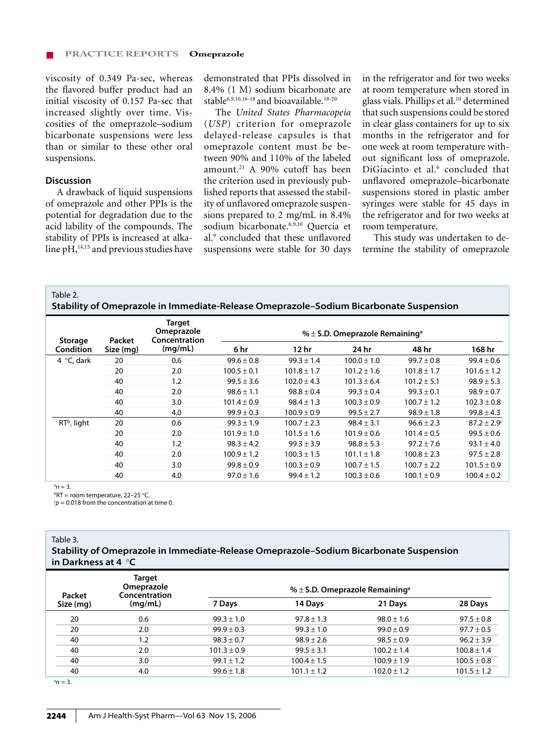viscosity of 0.349 Pa-sec, whereas the flavored buffer product had an initial viscosity of 0.157 Pa-sec that increased slightly over time. Viscosities of the omeprazole–sodium bicarbonate suspensions were less than or similar to these other oral suspensions.

## **Discussion**

A drawback of liquid suspensions of omeprazole and other PPIs is the potential for degradation due to the acid lability of the compounds. The stability of PPIs is increased at alkaline  $pH,$ <sup>14,15</sup> and previous studies have demonstrated that PPIs dissolved in 8.4% (1 M) sodium bicarbonate are stable<sup>6,9,10,16-18</sup> and bioavailable.<sup>18-20</sup>

The *United States Pharmacopeia*  (*USP*) criterion for omeprazole delayed-release capsules is that omeprazole content must be between 90% and 110% of the labeled amount.21 A 90% cutoff has been the criterion used in previously published reports that assessed the stability of unflavored omeprazole suspensions prepared to 2 mg/mL in 8.4% sodium bicarbonate.6,9,10 Quercia et al.<sup>9</sup> concluded that these unflavored suspensions were stable for 30 days

in the refrigerator and for two weeks at room temperature when stored in glass vials. Phillips et al.10 determined that such suspensions could be stored in clear glass containers for up to six months in the refrigerator and for one week at room temperature without significant loss of omeprazole. DiGiacinto et al.<sup>6</sup> concluded that unflavored omeprazole-bicarbonate suspensions stored in plastic amber syringes were stable for 45 days in the refrigerator and for two weeks at room temperature.

This study was undertaken to determine the stability of omeprazole

Table 2.

**Stability of Omeprazole in Immediate-Release Omeprazole–Sodium Bicarbonate Suspension**

|                                    | Packet<br>Size (mg) | Target<br>Omeprazole<br>Concentration<br>(mg/mL) | % $\pm$ S.D. Omeprazole Remaining <sup>a</sup> |                  |                 |                 |                        |  |
|------------------------------------|---------------------|--------------------------------------------------|------------------------------------------------|------------------|-----------------|-----------------|------------------------|--|
| <b>Storage</b><br><b>Condition</b> |                     |                                                  | 6 hr                                           | 12 <sub>hr</sub> | 24 hr           | 48 hr           | 168 hr                 |  |
| 4 $\degree$ C, dark                | 20                  | 0.6                                              | $99.6 \pm 0.8$                                 | $99.3 \pm 1.4$   | $100.0 \pm 1.0$ | $99.7 \pm 0.8$  | $99.4 \pm 0.6$         |  |
|                                    | 20                  | 2.0                                              | $100.5 \pm 0.1$                                | $101.8 \pm 1.7$  | $101.2 \pm 1.6$ | $101.8 \pm 1.7$ | $101.6 \pm 1.2$        |  |
|                                    | 40                  | 1.2                                              | $99.5 \pm 3.6$                                 | $102.0 \pm 4.3$  | $101.3 \pm 6.4$ | $101.2 \pm 5.1$ | $98.9 \pm 5.3$         |  |
|                                    | 40                  | 2.0                                              | $98.6 \pm 1.1$                                 | $98.8 \pm 0.4$   | $99.3 \pm 0.4$  | $99.3 \pm 0.1$  | $98.9 \pm 0.7$         |  |
|                                    | 40                  | 3.0                                              | $101.4 \pm 0.9$                                | $98.4 \pm 1.3$   | $100.3 \pm 0.9$ | $100.7 \pm 1.2$ | $102.3 \pm 0.8$        |  |
|                                    | 40                  | 4.0                                              | $99.9 \pm 0.3$                                 | $100.9 \pm 0.9$  | $99.5 \pm 2.7$  | $98.9 \pm 1.8$  | $99.8 \pm 4.3$         |  |
| RT <sup>b</sup> , light            | 20                  | 0.6                                              | $99.3 \pm 1.9$                                 | $100.7 \pm 2.3$  | $98.4 \pm 3.1$  | $96.6 \pm 2.3$  | $87.2 \pm 2.9^{\circ}$ |  |
|                                    | 20                  | 2.0                                              | $101.9 \pm 1.0$                                | $101.5 \pm 1.6$  | $101.9 \pm 0.6$ | $101.4 \pm 0.5$ | $99.5 \pm 0.6$         |  |
|                                    | 40                  | 1.2                                              | $98.3 \pm 4.2$                                 | $99.3 \pm 3.9$   | $98.8 \pm 5.3$  | $97.2 \pm 7.6$  | $93.1 \pm 4.0$         |  |
|                                    | 40                  | 2.0                                              | $100.9 \pm 1.2$                                | $100.3 \pm 1.5$  | $101.1 \pm 1.8$ | $100.8 \pm 2.3$ | $97.5 \pm 2.8$         |  |
|                                    | 40                  | 3.0                                              | $99.8 \pm 0.9$                                 | $100.3 \pm 0.9$  | $100.7 \pm 1.5$ | $100.7 \pm 2.2$ | $101.5 \pm 0.9$        |  |
|                                    | 40                  | 4.0                                              | $97.0 \pm 1.6$                                 | $99.4 \pm 1.2$   | $100.3 \pm 0.6$ | $100.1 \pm 0.9$ | $100.4 \pm 0.2$        |  |

 $a_n=3$ .

b RT = room temperature, 22–25 °C.

 $cp = 0.018$  from the concentration at time 0.

Table 3.

**Stability of Omeprazole in Immediate-Release Omeprazole–Sodium Bicarbonate Suspension in Darkness at 4** °**C**

| Packet    | <b>Target</b><br>Omeprazole<br>Concentration | % $\pm$ S.D. Omeprazole Remaining <sup>a</sup> |                 |                 |                 |  |
|-----------|----------------------------------------------|------------------------------------------------|-----------------|-----------------|-----------------|--|
| Size (mg) | (mq/mL)                                      | 7 Days                                         | 14 Days         | 21 Days         | 28 Days         |  |
| 20        | 0.6                                          | $99.3 \pm 1.0$                                 | $97.8 \pm 1.3$  | $98.0 \pm 1.6$  | $97.5 \pm 0.8$  |  |
| 20        | 2.0                                          | $99.9 \pm 0.3$                                 | $99.3 \pm 1.0$  | $99.0 \pm 0.9$  | $97.7 \pm 0.5$  |  |
| 40        | 1.2                                          | $98.3 \pm 0.7$                                 | $98.9 \pm 2.6$  | $98.5 \pm 0.9$  | $96.2 \pm 3.9$  |  |
| 40        | 2.0                                          | $101.3 \pm 0.9$                                | $99.5 \pm 3.1$  | $100.2 \pm 1.4$ | $100.8 \pm 1.4$ |  |
| 40        | 3.0                                          | $99.1 \pm 1.2$                                 | $100.4 \pm 1.5$ | $100.9 \pm 1.9$ | $100.5 \pm 0.8$ |  |
| 40        | 4.0                                          | $99.6 \pm 1.8$                                 | $101.1 \pm 1.2$ | $102.0 \pm 1.2$ | $101.5 \pm 1.2$ |  |

 $n=3$ .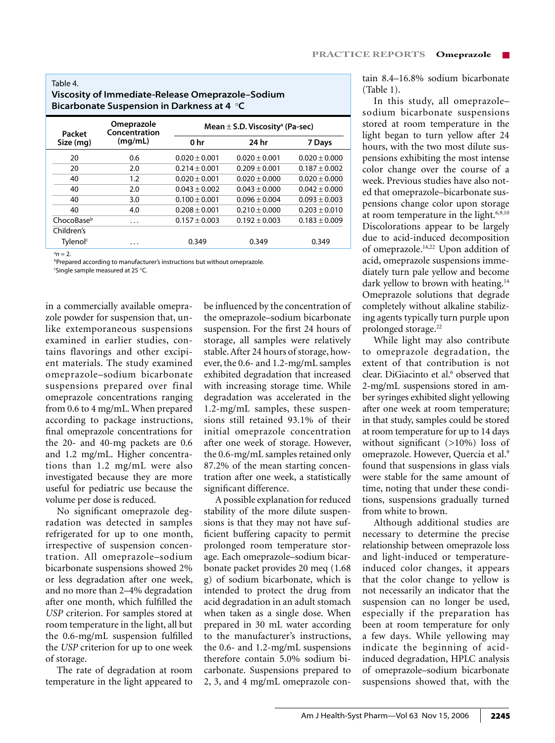# Table 4. **Viscosity of Immediate-Release Omeprazole–Sodium Bicarbonate Suspension in Darkness at 4** °**C**

| Packet               | Omeprazole<br>Concentration | Mean $\pm$ S.D. Viscosity <sup>a</sup> (Pa-sec) |                   |                   |  |  |
|----------------------|-----------------------------|-------------------------------------------------|-------------------|-------------------|--|--|
| Size (mg)            | (mq/mL)                     | 0 hr                                            | 24 hr             | 7 Days            |  |  |
| 20                   | 0.6                         | $0.020 \pm 0.001$                               | $0.020 + 0.001$   | $0.020 \pm 0.000$ |  |  |
| 20                   | 2.0                         | $0.214 \pm 0.001$                               | $0.209 \pm 0.001$ | $0.187 \pm 0.002$ |  |  |
| 40                   | 1.2                         | $0.020 + 0.001$                                 | $0.020 \pm 0.000$ | $0.020 \pm 0.000$ |  |  |
| 40                   | 2.0                         | $0.043 + 0.002$                                 | $0.043 \pm 0.000$ | $0.042 \pm 0.000$ |  |  |
| 40                   | 3.0                         | $0.100 \pm 0.001$                               | $0.096 \pm 0.004$ | $0.093 \pm 0.003$ |  |  |
| 40                   | 4.0                         | $0.208 \pm 0.001$                               | $0.210 \pm 0.000$ | $0.203 \pm 0.010$ |  |  |
| ChocoBaseb           | .                           | $0.157 \pm 0.003$                               | $0.192 \pm 0.003$ | $0.183 \pm 0.009$ |  |  |
| Children's           |                             |                                                 |                   |                   |  |  |
| Tylenol <sup>c</sup> | .                           | 0.349                                           | 0.349             | 0.349             |  |  |

 $a_n = 2$ .

b Prepared according to manufacturer's instructions but without omeprazole. c Single sample measured at 25 °C.

in a commercially available omeprazole powder for suspension that, unlike extemporaneous suspensions examined in earlier studies, contains flavorings and other excipient materials. The study examined omeprazole–sodium bicarbonate suspensions prepared over final omeprazole concentrations ranging from 0.6 to 4 mg/mL. When prepared according to package instructions, final omeprazole concentrations for the 20- and 40-mg packets are 0.6 and 1.2 mg/mL. Higher concentrations than 1.2 mg/mL were also investigated because they are more useful for pediatric use because the volume per dose is reduced.

No significant omeprazole degradation was detected in samples refrigerated for up to one month, irrespective of suspension concentration. All omeprazole–sodium bicarbonate suspensions showed 2% or less degradation after one week, and no more than 2–4% degradation after one month, which fulfilled the *USP* criterion. For samples stored at room temperature in the light, all but the 0.6-mg/mL suspension fulfilled the *USP* criterion for up to one week of storage.

The rate of degradation at room temperature in the light appeared to be influenced by the concentration of the omeprazole–sodium bicarbonate suspension. For the first 24 hours of storage, all samples were relatively stable. After 24 hours of storage, however, the 0.6- and 1.2-mg/mL samples exhibited degradation that increased with increasing storage time. While degradation was accelerated in the 1.2-mg/mL samples, these suspensions still retained 93.1% of their initial omeprazole concentration after one week of storage. However, the 0.6-mg/mL samples retained only 87.2% of the mean starting concentration after one week, a statistically significant difference.

A possible explanation for reduced stability of the more dilute suspensions is that they may not have sufficient buffering capacity to permit prolonged room temperature storage. Each omeprazole–sodium bicarbonate packet provides 20 meq (1.68 g) of sodium bicarbonate, which is intended to protect the drug from acid degradation in an adult stomach when taken as a single dose. When prepared in 30 mL water according to the manufacturer's instructions, the 0.6- and 1.2-mg/mL suspensions therefore contain 5.0% sodium bicarbonate. Suspensions prepared to 2, 3, and 4 mg/mL omeprazole contain 8.4–16.8% sodium bicarbonate (Table 1).

In this study, all omeprazole– sodium bicarbonate suspensions stored at room temperature in the light began to turn yellow after 24 hours, with the two most dilute suspensions exhibiting the most intense color change over the course of a week. Previous studies have also noted that omeprazole–bicarbonate suspensions change color upon storage at room temperature in the light.<sup>6,9,10</sup> Discolorations appear to be largely due to acid-induced decomposition of omeprazole.14,22 Upon addition of acid, omeprazole suspensions immediately turn pale yellow and become dark yellow to brown with heating.<sup>14</sup> Omeprazole solutions that degrade completely without alkaline stabilizing agents typically turn purple upon prolonged storage.<sup>22</sup>

While light may also contribute to omeprazole degradation, the extent of that contribution is not clear. DiGiacinto et al.<sup>6</sup> observed that 2-mg/mL suspensions stored in amber syringes exhibited slight yellowing after one week at room temperature; in that study, samples could be stored at room temperature for up to 14 days without significant (>10%) loss of omeprazole. However, Quercia et al.9 found that suspensions in glass vials were stable for the same amount of time, noting that under these conditions, suspensions gradually turned from white to brown.

Although additional studies are necessary to determine the precise relationship between omeprazole loss and light-induced or temperatureinduced color changes, it appears that the color change to yellow is not necessarily an indicator that the suspension can no longer be used, especially if the preparation has been at room temperature for only a few days. While yellowing may indicate the beginning of acidinduced degradation, HPLC analysis of omeprazole–sodium bicarbonate suspensions showed that, with the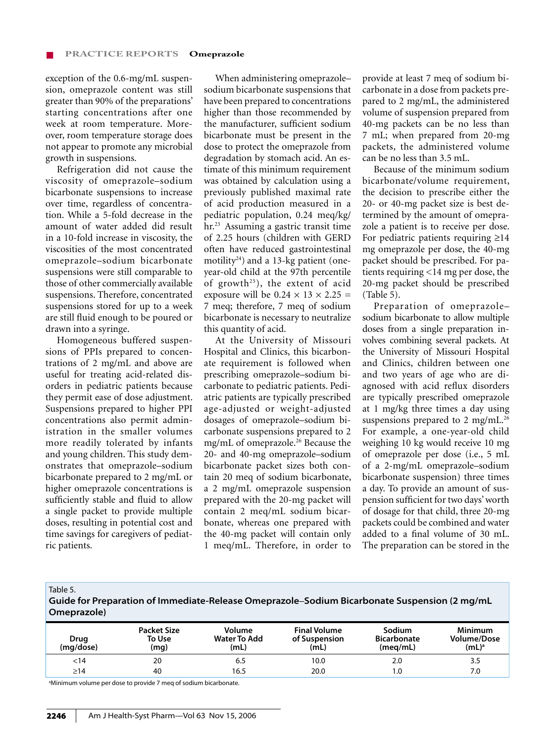exception of the 0.6-mg/mL suspension, omeprazole content was still greater than 90% of the preparations' starting concentrations after one week at room temperature. Moreover, room temperature storage does not appear to promote any microbial growth in suspensions.

Refrigeration did not cause the viscosity of omeprazole–sodium bicarbonate suspensions to increase over time, regardless of concentration. While a 5-fold decrease in the amount of water added did result in a 10-fold increase in viscosity, the viscosities of the most concentrated omeprazole–sodium bicarbonate suspensions were still comparable to those of other commercially available suspensions. Therefore, concentrated suspensions stored for up to a week are still fluid enough to be poured or drawn into a syringe.

Homogeneous buffered suspensions of PPIs prepared to concentrations of 2 mg/mL and above are useful for treating acid-related disorders in pediatric patients because they permit ease of dose adjustment. Suspensions prepared to higher PPI concentrations also permit administration in the smaller volumes more readily tolerated by infants and young children. This study demonstrates that omeprazole–sodium bicarbonate prepared to 2 mg/mL or higher omeprazole concentrations is sufficiently stable and fluid to allow a single packet to provide multiple doses, resulting in potential cost and time savings for caregivers of pediatric patients.

When administering omeprazole– sodium bicarbonate suspensions that have been prepared to concentrations higher than those recommended by the manufacturer, sufficient sodium bicarbonate must be present in the dose to protect the omeprazole from degradation by stomach acid. An estimate of this minimum requirement was obtained by calculation using a previously published maximal rate of acid production measured in a pediatric population, 0.24 meq/kg/ hr.23 Assuming a gastric transit time of 2.25 hours (children with GERD often have reduced gastrointestinal motility24) and a 13-kg patient (oneyear-old child at the 97th percentile of growth<sup>25</sup>), the extent of acid exposure will be  $0.24 \times 13 \times 2.25 =$ 7 meq; therefore, 7 meq of sodium bicarbonate is necessary to neutralize this quantity of acid.

At the University of Missouri Hospital and Clinics, this bicarbonate requirement is followed when prescribing omeprazole–sodium bicarbonate to pediatric patients. Pediatric patients are typically prescribed age-adjusted or weight-adjusted dosages of omeprazole–sodium bicarbonate suspensions prepared to 2 mg/mL of omeprazole.26 Because the 20- and 40-mg omeprazole–sodium bicarbonate packet sizes both contain 20 meq of sodium bicarbonate, a 2 mg/mL omeprazole suspension prepared with the 20-mg packet will contain 2 meq/mL sodium bicarbonate, whereas one prepared with the 40-mg packet will contain only 1 meq/mL. Therefore, in order to

provide at least 7 meq of sodium bicarbonate in a dose from packets prepared to 2 mg/mL, the administered volume of suspension prepared from 40-mg packets can be no less than 7 mL; when prepared from 20-mg packets, the administered volume can be no less than 3.5 mL.

Because of the minimum sodium bicarbonate/volume requirement, the decision to prescribe either the 20- or 40-mg packet size is best determined by the amount of omeprazole a patient is to receive per dose. For pediatric patients requiring ≥14 mg omeprazole per dose, the 40-mg packet should be prescribed. For patients requiring <14 mg per dose, the 20-mg packet should be prescribed (Table 5).

Preparation of omeprazole– sodium bicarbonate to allow multiple doses from a single preparation involves combining several packets. At the University of Missouri Hospital and Clinics, children between one and two years of age who are diagnosed with acid reflux disorders are typically prescribed omeprazole at 1 mg/kg three times a day using suspensions prepared to 2 mg/mL.<sup>26</sup> For example, a one-year-old child weighing 10 kg would receive 10 mg of omeprazole per dose (i.e., 5 mL of a 2-mg/mL omeprazole–sodium bicarbonate suspension) three times a day. To provide an amount of suspension sufficient for two days' worth of dosage for that child, three 20-mg packets could be combined and water added to a final volume of 30 mL. The preparation can be stored in the

Table 5.

**Guide for Preparation of Immediate-Release Omeprazole**–**Sodium Bicarbonate Suspension (2 mg/mL Omeprazole)**

| Drug<br>(mg/dose) | <b>Packet Size</b><br>To Use<br>(mq) | Volume<br>Water To Add<br>(mL) | <b>Final Volume</b><br>of Suspension<br>(mL) | Sodium<br><b>Bicarbonate</b><br>(meg/mL) | Minimum<br><b>Volume/Dose</b><br>$(mL)^a$ |
|-------------------|--------------------------------------|--------------------------------|----------------------------------------------|------------------------------------------|-------------------------------------------|
| <14               | 20                                   | 6.5                            | 10.0                                         | 2.0                                      | 3.5                                       |
| >14               | 40                                   | 16.5                           | 20.0                                         | 0. ا                                     | 7.0                                       |

<sup>a</sup>Minimum volume per dose to provide 7 meq of sodium bicarbonate.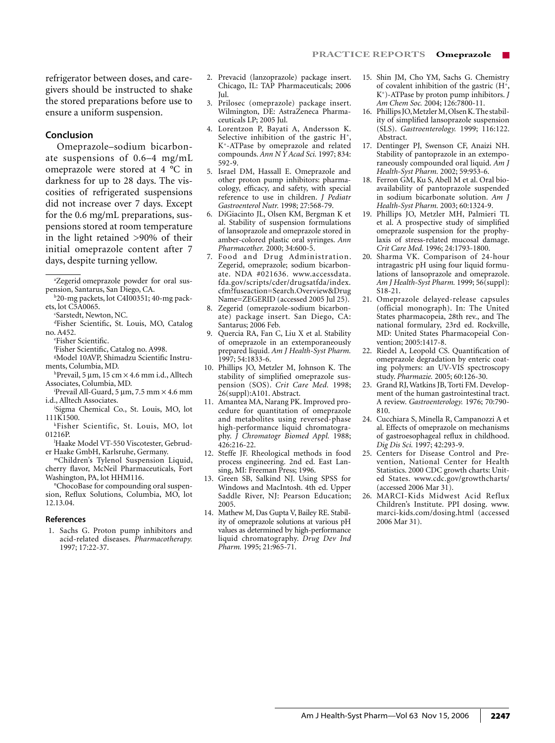refrigerator between doses, and caregivers should be instructed to shake the stored preparations before use to ensure a uniform suspension.

#### **Conclusion**

Omeprazole–sodium bicarbonate suspensions of 0.6–4 mg/mL omeprazole were stored at 4 °C in darkness for up to 28 days. The viscosities of refrigerated suspensions did not increase over 7 days. Except for the 0.6 mg/mL preparations, suspensions stored at room temperature in the light retained >90% of their initial omeprazole content after 7 days, despite turning yellow.

b 20-mg packets, lot C4I00351; 40-mg packets, lot C5A0065.

c Sarstedt, Newton, NC.

- d Fisher Scientific, St. Louis, MO, Catalog no. A452.
	- e Fisher Scientific.
	- f Fisher Scientific, Catalog no. A998.
- g Model 10AVP, Shimadzu Scientific Instruments, Columbia, MD.
- h Prevail, 5 µm, 15 cm × 4.6 mm i.d., Alltech Associates, Columbia, MD.
- i Prevail All-Guard, 5 µm, 7.5 mm × 4.6 mm i.d., Alltech Associates.
- j Sigma Chemical Co., St. Louis, MO, lot 111K1500.
- kFisher Scientific, St. Louis, MO, lot 01216P.
- l Haake Model VT-550 Viscotester, Gebruder Haake GmbH, Karlsruhe, Germany.
- mChildren's Tylenol Suspension Liquid, cherry flavor, McNeil Pharmaceuticals, Fort Washington, PA, lot HHM116.

n ChocoBase for compounding oral suspension, Reflux Solutions, Columbia, MO, lot 12.13.04.

#### **References**

1. Sachs G. Proton pump inhibitors and acid-related diseases. *Pharmacotherapy.* 1997; 17:22-37.

- 2. Prevacid (lanzoprazole) package insert. Chicago, IL: TAP Pharmaceuticals; 2006 Jul.
- 3. Prilosec (omeprazole) package insert. Wilmington, DE: AstraZeneca Pharmaceuticals LP; 2005 Jul.
- 4. Lorentzon P, Bayati A, Andersson K. Selective inhibition of the gastric  $H^+$ , K+-ATPase by omeprazole and related compounds. *Ann N Y Acad Sci.* 1997; 834: 592-9.
- 5. Israel DM, Hassall E. Omeprazole and other proton pump inhibitors: pharmacology, efficacy, and safety, with special reference to use in children. *J Pediatr Gastroenterol Nutr.* 1998; 27:568-79.
- 6. DiGiacinto JL, Olsen KM, Bergman K et al. Stability of suspension formulations of lansoprazole and omeprazole stored in amber-colored plastic oral syringes. *Ann Pharmacother.* 2000; 34:600-5.
- 7. Food and Drug Administration. Zegerid, omeprazole; sodium bicarbonate. NDA #021636. www.accessdata. fda.gov/scripts/cder/drugsatfda/index. cfm?fuseaction=Search.Overview&Drug Name=ZEGERID (accessed 2005 Jul 25).
- 8. Zegerid (omeprazole-sodium bicarbonate) package insert. San Diego, CA: Santarus; 2006 Feb.
- 9. Quercia RA, Fan C, Liu X et al. Stability of omeprazole in an extemporaneously prepared liquid. *Am J Health-Syst Pharm.*  1997; 54:1833-6.
- 10. Phillips JO, Metzler M, Johnson K. The stability of simplified omeprazole suspension (SOS). Crit Care Med. 1998; 26(suppl):A101. Abstract.
- 11. Amantea MA, Narang PK. Improved procedure for quantitation of omeprazole and metabolites using reversed-phase high-performance liquid chromatography. *J Chromatogr Biomed Appl.* 1988; 426:216-22.
- 12. Steffe JF. Rheological methods in food process engineering. 2nd ed. East Lansing, MI: Freeman Press; 1996.
- 13. Green SB, Salkind NJ. Using SPSS for Windows and MacIntosh. 4th ed. Upper Saddle River, NJ: Pearson Education; 2005.
- 14. Mathew M, Das Gupta V, Bailey RE. Stability of omeprazole solutions at various pH values as determined by high-performance liquid chromatography. *Drug Dev Ind Pharm.* 1995; 21:965-71.
- 15. Shin JM, Cho YM, Sachs G. Chemistry of covalent inhibition of the gastric  $(H^+,$ K+)-ATPase by proton pump inhibitors. *J Am Chem Soc.* 2004; 126:7800-11.
- 16. Phillips JO, Metzler M, Olsen K. The stability of simplified lansoprazole suspension (SLS). *Gastroenterology.* 1999; 116:122. Abstract.
- 17. Dentinger PJ, Swenson CF, Anaizi NH. Stability of pantoprazole in an extemporaneously compounded oral liquid. *Am J Health-Syst Pharm.* 2002; 59:953-6.
- 18. Ferron GM, Ku S, Abell M et al. Oral bioavailability of pantoprazole suspended in sodium bicarbonate solution. *Am J Health-Syst Pharm.* 2003; 60:1324-9.
- 19. Phillips JO, Metzler MH, Palmieri TL et al. A prospective study of simplified omeprazole suspension for the prophylaxis of stress-related mucosal damage. *Crit Care Med.* 1996; 24:1793-1800.
- 20. Sharma VK. Comparison of 24-hour intragastric pH using four liquid formulations of lansoprazole and omeprazole. *Am J Health-Syst Pharm.* 1999; 56(suppl): S18-21.
- 21. Omeprazole delayed-release capsules (official monograph). In: The United States pharmacopeia, 28th rev., and The national formulary, 23rd ed. Rockville, MD: United States Pharmacopeial Convention; 2005:1417-8.
- 22. Riedel A, Leopold CS. Quantification of omeprazole degradation by enteric coating polymers: an UV-VIS spectroscopy study. *Pharmazie.* 2005; 60:126-30.
- 23. Grand RJ, Watkins JB, Torti FM. Development of the human gastrointestinal tract. A review. *Gastroenterology.* 1976; 70:790- 810.
- 24. Cucchiara S, Minella R, Campanozzi A et al. Effects of omeprazole on mechanisms of gastroesophageal reflux in childhood. *Dig Dis Sci.* 1997; 42:293-9.
- 25. Centers for Disease Control and Prevention, National Center for Health Statistics. 2000 CDC growth charts: United States. www.cdc.gov/growthcharts/ (accessed 2006 Mar 31).
- 26. MARCI-Kids Midwest Acid Reflux Children's Institute. PPI dosing. www. marci-kids.com/dosing.html (accessed 2006 Mar 31).

a Zegerid omeprazole powder for oral suspension, Santarus, San Diego, CA.